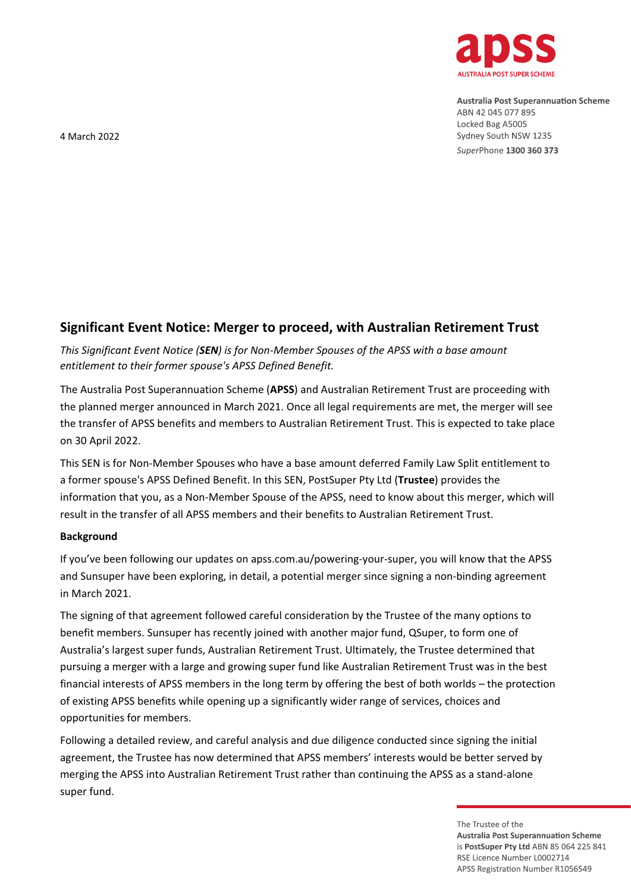

**Australia Post Superannuation Scheme** ABN 42 045 077 895 Locked Bag A5005 Sydney South NSW 1235 SuperPhone 1300 360 373

4 March 2022

# **Significant Event Notice: Merger to proceed, with Australian Retirement Trust**

*This Significant Event Notice (SEN) is for Non-Member Spouses of the APSS with a base amount entitlement to their former spouse's APSS Defined Benefit.*

The Australia Post Superannuation Scheme (**APSS**) and Australian Retirement Trust are proceeding with the planned merger announced in March 2021. Once all legal requirements are met, the merger will see the transfer of APSS benefits and members to Australian Retirement Trust. This is expected to take place on 30 April 2022.

This SEN is for Non-Member Spouses who have a base amount deferred Family Law Split entitlement to a former spouse's APSS Defined Benefit. In this SEN, PostSuper Pty Ltd (**Trustee**) provides the information that you, as a Non-Member Spouse of the APSS, need to know about this merger, which will result in the transfer of all APSS members and their benefits to Australian Retirement Trust.

# **Background**

If you've been following our updates on apss.com.au/powering-your-super, you will know that the APSS and Sunsuper have been exploring, in detail, a potential merger since signing a non-binding agreement in March 2021.

The signing of that agreement followed careful consideration by the Trustee of the many options to benefit members. Sunsuper has recently joined with another major fund, QSuper, to form one of Australia's largest super funds, Australian Retirement Trust. Ultimately, the Trustee determined that pursuing a merger with a large and growing super fund like Australian Retirement Trust was in the best financial interests of APSS members in the long term by offering the best of both worlds – the protection of existing APSS benefits while opening up a significantly wider range of services, choices and opportunities for members.

Following a detailed review, and careful analysis and due diligence conducted since signing the initial agreement, the Trustee has now determined that APSS members' interests would be better served by merging the APSS into Australian Retirement Trust rather than continuing the APSS as a stand-alone super fund.

> The Trustee of the **Australia Post Superannuation Scheme** is PostSuper Pty Ltd ABN 85 064 225 841 RSF Licence Number 10002714 APSS Registration Number R1056549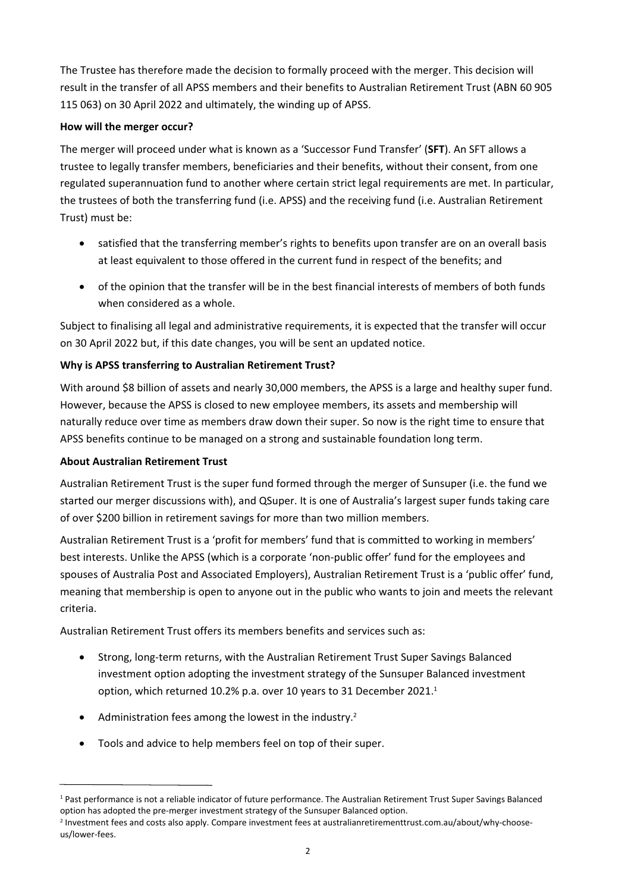The Trustee has therefore made the decision to formally proceed with the merger. This decision will result in the transfer of all APSS members and their benefits to Australian Retirement Trust (ABN 60 905 115 063) on 30 April 2022 and ultimately, the winding up of APSS.

### **How will the merger occur?**

The merger will proceed under what is known as a 'Successor Fund Transfer' (**SFT**). An SFT allows a trustee to legally transfer members, beneficiaries and their benefits, without their consent, from one regulated superannuation fund to another where certain strict legal requirements are met. In particular, the trustees of both the transferring fund (i.e. APSS) and the receiving fund (i.e. Australian Retirement Trust) must be:

satisfied that the transferring member's rights to benefits upon transfer are on an overall basis at least equivalent to those offered in the current fund in respect of the benefits; and

of the opinion that the transfer will be in the best financial interests of members of both funds when considered as a whole.

Subject to finalising all legal and administrative requirements, it is expected that the transfer will occur on 30 April 2022 but, if this date changes, you will be sent an updated notice.

# **Why is APSS transferring to Australian Retirement Trust?**

With around \$8 billion of assets and nearly 30,000 members, the APSS is a large and healthy super fund. However, because the APSS is closed to new employee members, its assets and membership will naturally reduce over time as members draw down their super. So now is the right time to ensure that APSS benefits continue to be managed on a strong and sustainable foundation long term.

# **About Australian Retirement Trust**

Australian Retirement Trust is the super fund formed through the merger of Sunsuper (i.e. the fund we started our merger discussions with), and QSuper. It is one of Australia's largest super funds taking care of over \$200 billion in retirement savings for more than two million members.

Australian Retirement Trust is a 'profit for members' fund that is committed to working in members' best interests. Unlike the APSS (which is a corporate 'non-public offer' fund for the employees and spouses of Australia Post and Associated Employers), Australian Retirement Trust is a 'public offer' fund, meaning that membership is open to anyone out in the public who wants to join and meets the relevant criteria.

Australian Retirement Trust offers its members benefits and services such as:

Strong, long-term returns, with the Australian Retirement Trust Super Savings Balanced investment option adopting the investment strategy of the Sunsuper Balanced investment option, which returned 10.2% p.a. over 10 years to 31 December 2021.<sup>1</sup>

Administration fees among the lowest in the industry.<sup>2</sup>

Tools and advice to help members feel on top of their super.

<sup>&</sup>lt;sup>1</sup> Past performance is not a reliable indicator of future performance. The Australian Retirement Trust Super Savings Balanced option has adopted the pre-merger investment strategy of the Sunsuper Balanced option.

<sup>2</sup> Investment fees and costs also apply. Compare investment fees at australianretirementtrust.com.au/about/why-chooseus/lower-fees.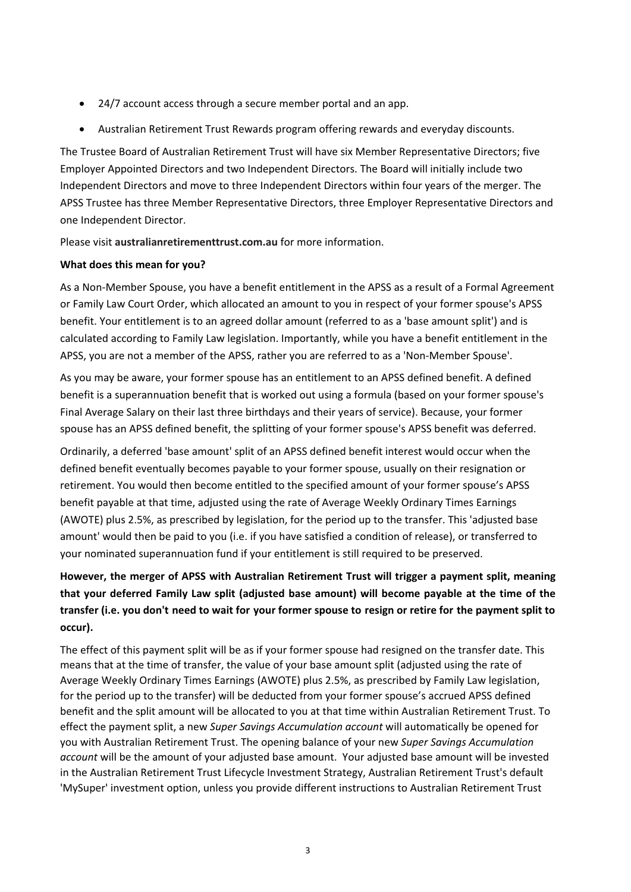24/7 account access through a secure member portal and an app.

Australian Retirement Trust Rewards program offering rewards and everyday discounts.

The Trustee Board of Australian Retirement Trust will have six Member Representative Directors; five Employer Appointed Directors and two Independent Directors. The Board will initially include two Independent Directors and move to three Independent Directors within four years of the merger. The APSS Trustee has three Member Representative Directors, three Employer Representative Directors and one Independent Director.

Please visit **australianretirementtrust.com.au** for more information.

#### **What does this mean for you?**

As a Non-Member Spouse, you have a benefit entitlement in the APSS as a result of a Formal Agreement or Family Law Court Order, which allocated an amount to you in respect of your former spouse's APSS benefit. Your entitlement is to an agreed dollar amount (referred to as a 'base amount split') and is calculated according to Family Law legislation. Importantly, while you have a benefit entitlement in the APSS, you are not a member of the APSS, rather you are referred to as a 'Non-Member Spouse'.

As you may be aware, your former spouse has an entitlement to an APSS defined benefit. A defined benefit is a superannuation benefit that is worked out using a formula (based on your former spouse's Final Average Salary on their last three birthdays and their years of service). Because, your former spouse has an APSS defined benefit, the splitting of your former spouse's APSS benefit was deferred.

Ordinarily, a deferred 'base amount' split of an APSS defined benefit interest would occur when the defined benefit eventually becomes payable to your former spouse, usually on their resignation or retirement. You would then become entitled to the specified amount of your former spouse's APSS benefit payable at that time, adjusted using the rate of Average Weekly Ordinary Times Earnings (AWOTE) plus 2.5%, as prescribed by legislation, for the period up to the transfer. This 'adjusted base amount' would then be paid to you (i.e. if you have satisfied a condition of release), or transferred to your nominated superannuation fund if your entitlement is still required to be preserved.

# **However, the merger of APSS with Australian Retirement Trust will trigger a payment split, meaning that your deferred Family Law split (adjusted base amount) will become payable at the time of the transfer (i.e. you don't need to wait for your former spouse to resign or retire for the payment split to occur).**

The effect of this payment split will be as if your former spouse had resigned on the transfer date. This means that at the time of transfer, the value of your base amount split (adjusted using the rate of Average Weekly Ordinary Times Earnings (AWOTE) plus 2.5%, as prescribed by Family Law legislation, for the period up to the transfer) will be deducted from your former spouse's accrued APSS defined benefit and the split amount will be allocated to you at that time within Australian Retirement Trust. To effect the payment split, a new *Super Savings Accumulation account* will automatically be opened for you with Australian Retirement Trust. The opening balance of your new *Super Savings Accumulation account* will be the amount of your adjusted base amount. Your adjusted base amount will be invested in the Australian Retirement Trust Lifecycle Investment Strategy, Australian Retirement Trust's default 'MySuper' investment option, unless you provide different instructions to Australian Retirement Trust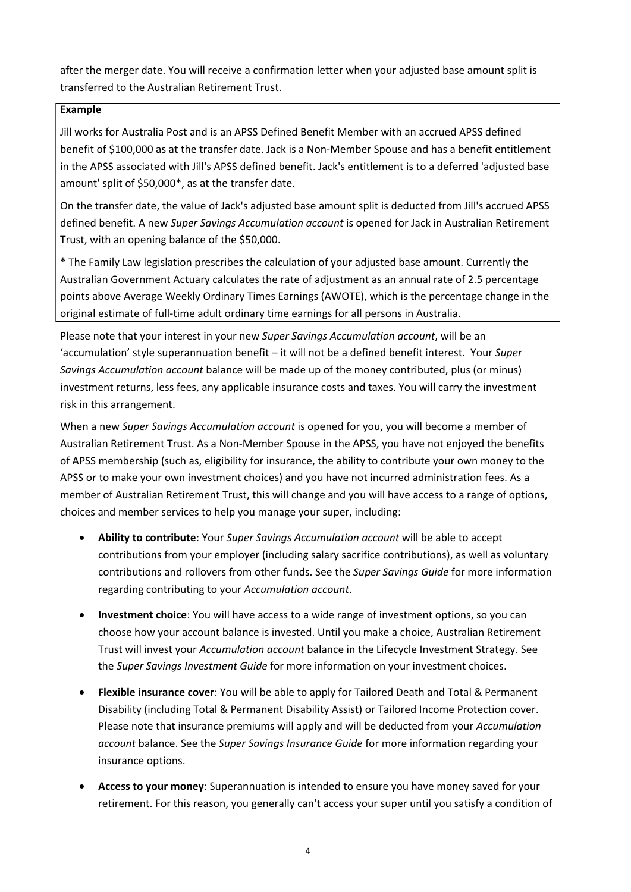after the merger date. You will receive a confirmation letter when your adjusted base amount split is transferred to the Australian Retirement Trust.

### **Example**

Jill works for Australia Post and is an APSS Defined Benefit Member with an accrued APSS defined benefit of \$100,000 as at the transfer date. Jack is a Non-Member Spouse and has a benefit entitlement in the APSS associated with Jill's APSS defined benefit. Jack's entitlement is to a deferred 'adjusted base amount' split of \$50,000\*, as at the transfer date.

On the transfer date, the value of Jack's adjusted base amount split is deducted from Jill's accrued APSS defined benefit. A new *Super Savings Accumulation account* is opened for Jack in Australian Retirement Trust, with an opening balance of the \$50,000.

\* The Family Law legislation prescribes the calculation of your adjusted base amount. Currently the Australian Government Actuary calculates the rate of adjustment as an annual rate of 2.5 percentage points above Average Weekly Ordinary Times Earnings (AWOTE), which is the percentage change in the original estimate of full-time adult ordinary time earnings for all persons in Australia.

Please note that your interest in your new *Super Savings Accumulation account*, will be an 'accumulation' style superannuation benefit – it will not be a defined benefit interest. Your *Super Savings Accumulation account* balance will be made up of the money contributed, plus (or minus) investment returns, less fees, any applicable insurance costs and taxes. You will carry the investment risk in this arrangement.

When a new *Super Savings Accumulation account* is opened for you, you will become a member of Australian Retirement Trust. As a Non-Member Spouse in the APSS, you have not enjoyed the benefits of APSS membership (such as, eligibility for insurance, the ability to contribute your own money to the APSS or to make your own investment choices) and you have not incurred administration fees. As a member of Australian Retirement Trust, this will change and you will have access to a range of options, choices and member services to help you manage your super, including:

**Ability to contribute**: Your *Super Savings Accumulation account* will be able to accept contributions from your employer (including salary sacrifice contributions), as well as voluntary contributions and rollovers from other funds. See the *Super Savings Guide* for more information regarding contributing to your *Accumulation account*.

**Investment choice**: You will have access to a wide range of investment options, so you can choose how your account balance is invested. Until you make a choice, Australian Retirement Trust will invest your *Accumulation account* balance in the Lifecycle Investment Strategy. See the *Super Savings Investment Guide* for more information on your investment choices.

**Flexible insurance cover**: You will be able to apply for Tailored Death and Total & Permanent Disability (including Total & Permanent Disability Assist) or Tailored Income Protection cover. Please note that insurance premiums will apply and will be deducted from your *Accumulation account* balance. See the *Super Savings Insurance Guide* for more information regarding your insurance options.

**Access to your money**: Superannuation is intended to ensure you have money saved for your retirement. For this reason, you generally can't access your super until you satisfy a condition of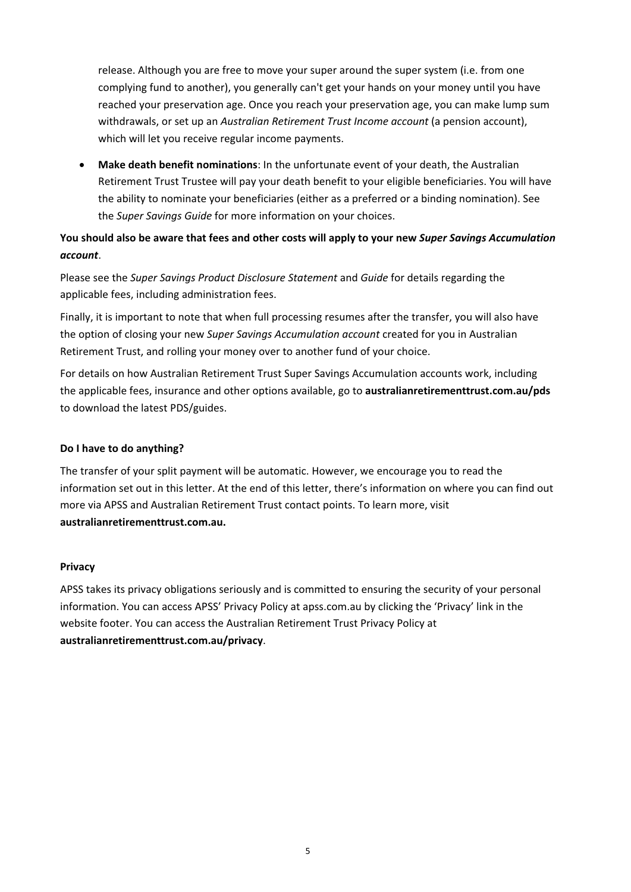release. Although you are free to move your super around the super system (i.e. from one complying fund to another), you generally can't get your hands on your money until you have reached your preservation age. Once you reach your preservation age, you can make lump sum withdrawals, or set up an *Australian Retirement Trust Income account* (a pension account), which will let you receive regular income payments.

**Make death benefit nominations**: In the unfortunate event of your death, the Australian Retirement Trust Trustee will pay your death benefit to your eligible beneficiaries. You will have the ability to nominate your beneficiaries (either as a preferred or a binding nomination). See the *Super Savings Guide* for more information on your choices.

# **You should also be aware that fees and other costs will apply to your new** *Super Savings Accumulation account*.

Please see the *Super Savings Product Disclosure Statement* and *Guide* for details regarding the applicable fees, including administration fees.

Finally, it is important to note that when full processing resumes after the transfer, you will also have the option of closing your new *Super Savings Accumulation account* created for you in Australian Retirement Trust, and rolling your money over to another fund of your choice.

For details on how Australian Retirement Trust Super Savings Accumulation accounts work, including the applicable fees, insurance and other options available, go to **australianretirementtrust.com.au/pds** to download the latest PDS/guides.

# **Do I have to do anything?**

The transfer of your split payment will be automatic. However, we encourage you to read the information set out in this letter. At the end of this letter, there's information on where you can find out more via APSS and Australian Retirement Trust contact points. To learn more, visit **australianretirementtrust.com.au.**

#### **Privacy**

APSS takes its privacy obligations seriously and is committed to ensuring the security of your personal information. You can access APSS' Privacy Policy at apss.com.au by clicking the 'Privacy' link in the website footer. You can access the Australian Retirement Trust Privacy Policy at **australianretirementtrust.com.au/privacy**.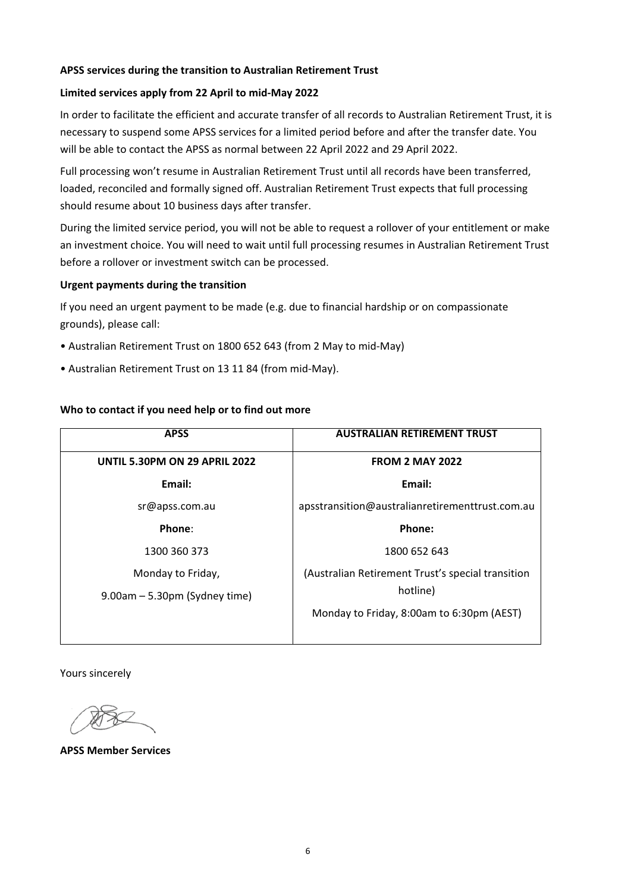### **APSS services during the transition to Australian Retirement Trust**

### **Limited services apply from 22 April to mid-May 2022**

In order to facilitate the efficient and accurate transfer of all records to Australian Retirement Trust, it is necessary to suspend some APSS services for a limited period before and after the transfer date. You will be able to contact the APSS as normal between 22 April 2022 and 29 April 2022.

Full processing won't resume in Australian Retirement Trust until all records have been transferred, loaded, reconciled and formally signed off. Australian Retirement Trust expects that full processing should resume about 10 business days after transfer.

During the limited service period, you will not be able to request a rollover of your entitlement or make an investment choice. You will need to wait until full processing resumes in Australian Retirement Trust before a rollover or investment switch can be processed.

### **Urgent payments during the transition**

If you need an urgent payment to be made (e.g. due to financial hardship or on compassionate grounds), please call:

- Australian Retirement Trust on 1800 652 643 (from 2 May to mid-May)
- Australian Retirement Trust on 13 11 84 (from mid-May).

### **Who to contact if you need help or to find out more**

| <b>APSS</b>                          | <b>AUSTRALIAN RETIREMENT TRUST</b>                |
|--------------------------------------|---------------------------------------------------|
| <b>UNTIL 5.30PM ON 29 APRIL 2022</b> | <b>FROM 2 MAY 2022</b>                            |
| Email:                               | Email:                                            |
| sr@apss.com.au                       | apsstransition@australianretirementtrust.com.au   |
| Phone:                               | Phone:                                            |
| 1300 360 373                         | 1800 652 643                                      |
| Monday to Friday,                    | (Australian Retirement Trust's special transition |
| $9.00am - 5.30pm$ (Sydney time)      | hotline)                                          |
|                                      | Monday to Friday, 8:00am to 6:30pm (AEST)         |

Yours sincerely

**APSS Member Services**